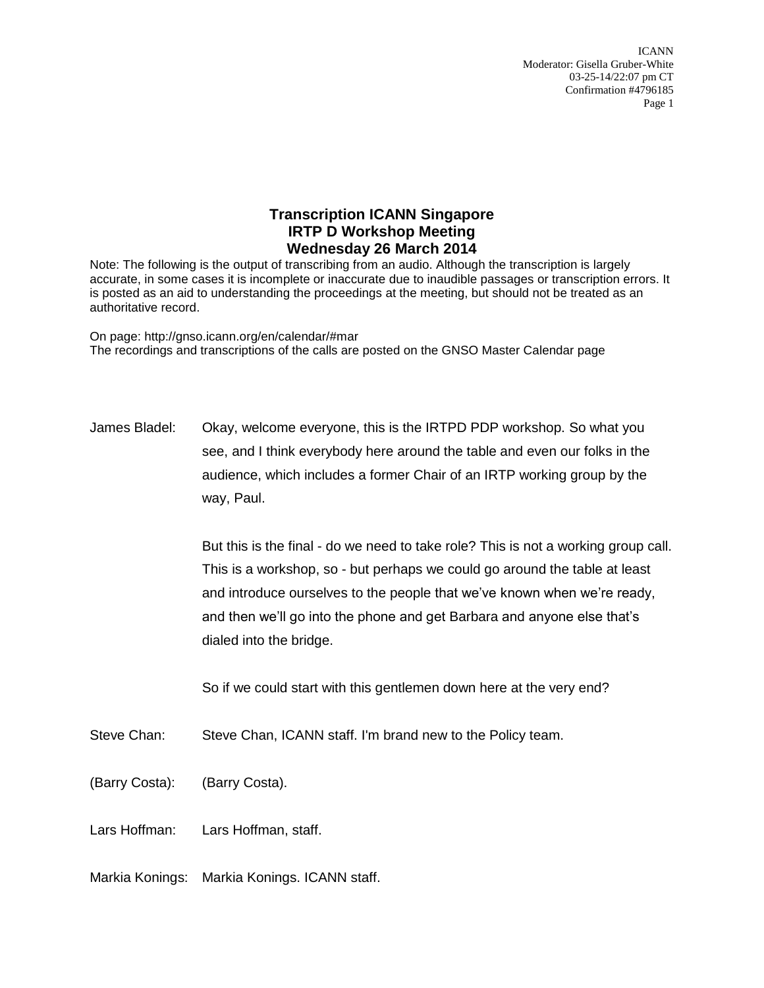## **Transcription ICANN Singapore IRTP D Workshop Meeting Wednesday 26 March 2014**

Note: The following is the output of transcribing from an audio. Although the transcription is largely accurate, in some cases it is incomplete or inaccurate due to inaudible passages or transcription errors. It is posted as an aid to understanding the proceedings at the meeting, but should not be treated as an authoritative record.

On page: http://gnso.icann.org/en/calendar/#mar The recordings and transcriptions of the calls are posted on the GNSO Master Calendar page

James Bladel: Okay, welcome everyone, this is the IRTPD PDP workshop. So what you see, and I think everybody here around the table and even our folks in the audience, which includes a former Chair of an IRTP working group by the way, Paul.

> But this is the final - do we need to take role? This is not a working group call. This is a workshop, so - but perhaps we could go around the table at least and introduce ourselves to the people that we've known when we're ready, and then we'll go into the phone and get Barbara and anyone else that's dialed into the bridge.

So if we could start with this gentlemen down here at the very end?

- Steve Chan: Steve Chan, ICANN staff. I'm brand new to the Policy team.
- (Barry Costa): (Barry Costa).

Lars Hoffman: Lars Hoffman, staff.

Markia Konings: Markia Konings. ICANN staff.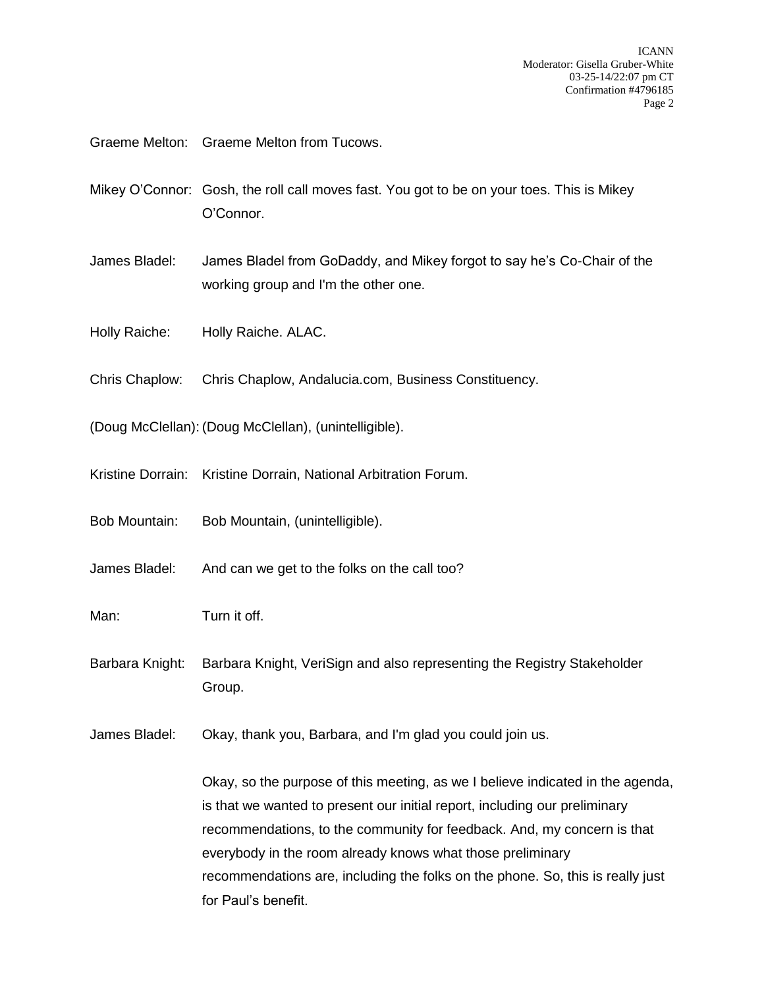Graeme Melton: Graeme Melton from Tucows.

- Mikey O'Connor: Gosh, the roll call moves fast. You got to be on your toes. This is Mikey O'Connor.
- James Bladel: James Bladel from GoDaddy, and Mikey forgot to say he's Co-Chair of the working group and I'm the other one.
- Holly Raiche: Holly Raiche. ALAC.
- Chris Chaplow: Chris Chaplow, Andalucia.com, Business Constituency.
- (Doug McClellan): (Doug McClellan), (unintelligible).
- Kristine Dorrain: Kristine Dorrain, National Arbitration Forum.
- Bob Mountain: Bob Mountain, (unintelligible).
- James Bladel: And can we get to the folks on the call too?
- Man: Turn it off.
- Barbara Knight: Barbara Knight, VeriSign and also representing the Registry Stakeholder Group.
- James Bladel: Okay, thank you, Barbara, and I'm glad you could join us.

Okay, so the purpose of this meeting, as we I believe indicated in the agenda, is that we wanted to present our initial report, including our preliminary recommendations, to the community for feedback. And, my concern is that everybody in the room already knows what those preliminary recommendations are, including the folks on the phone. So, this is really just for Paul's benefit.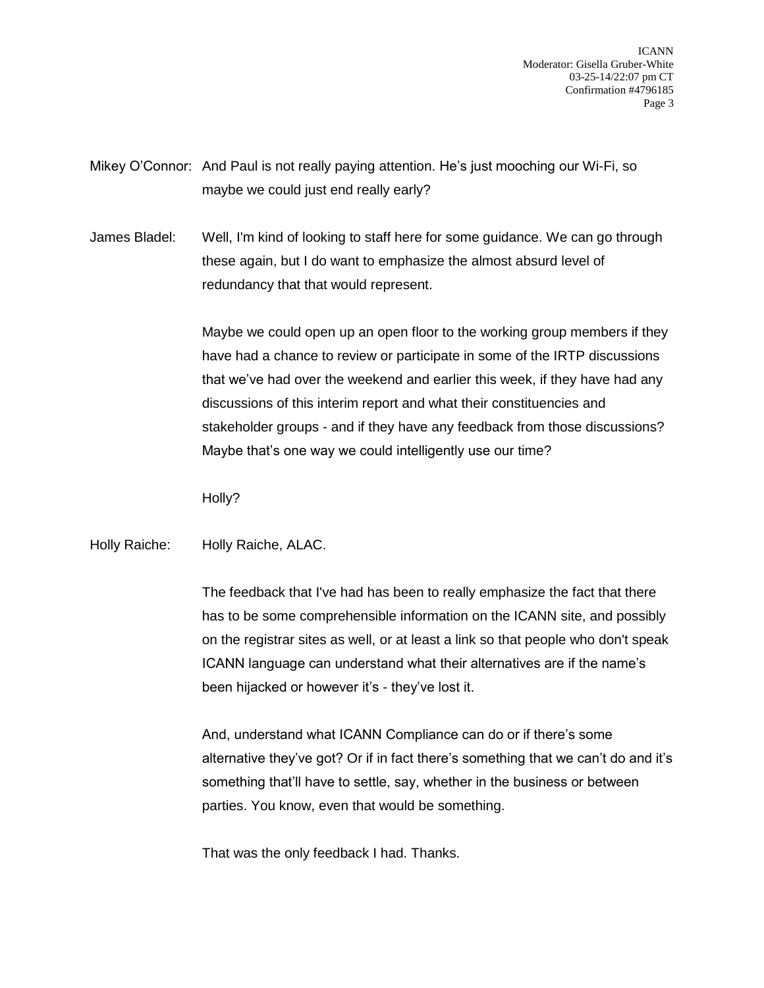Mikey O'Connor: And Paul is not really paying attention. He's just mooching our Wi-Fi, so maybe we could just end really early?

James Bladel: Well, I'm kind of looking to staff here for some guidance. We can go through these again, but I do want to emphasize the almost absurd level of redundancy that that would represent.

> Maybe we could open up an open floor to the working group members if they have had a chance to review or participate in some of the IRTP discussions that we've had over the weekend and earlier this week, if they have had any discussions of this interim report and what their constituencies and stakeholder groups - and if they have any feedback from those discussions? Maybe that's one way we could intelligently use our time?

Holly?

Holly Raiche: Holly Raiche, ALAC.

The feedback that I've had has been to really emphasize the fact that there has to be some comprehensible information on the ICANN site, and possibly on the registrar sites as well, or at least a link so that people who don't speak ICANN language can understand what their alternatives are if the name's been hijacked or however it's - they've lost it.

And, understand what ICANN Compliance can do or if there's some alternative they've got? Or if in fact there's something that we can't do and it's something that'll have to settle, say, whether in the business or between parties. You know, even that would be something.

That was the only feedback I had. Thanks.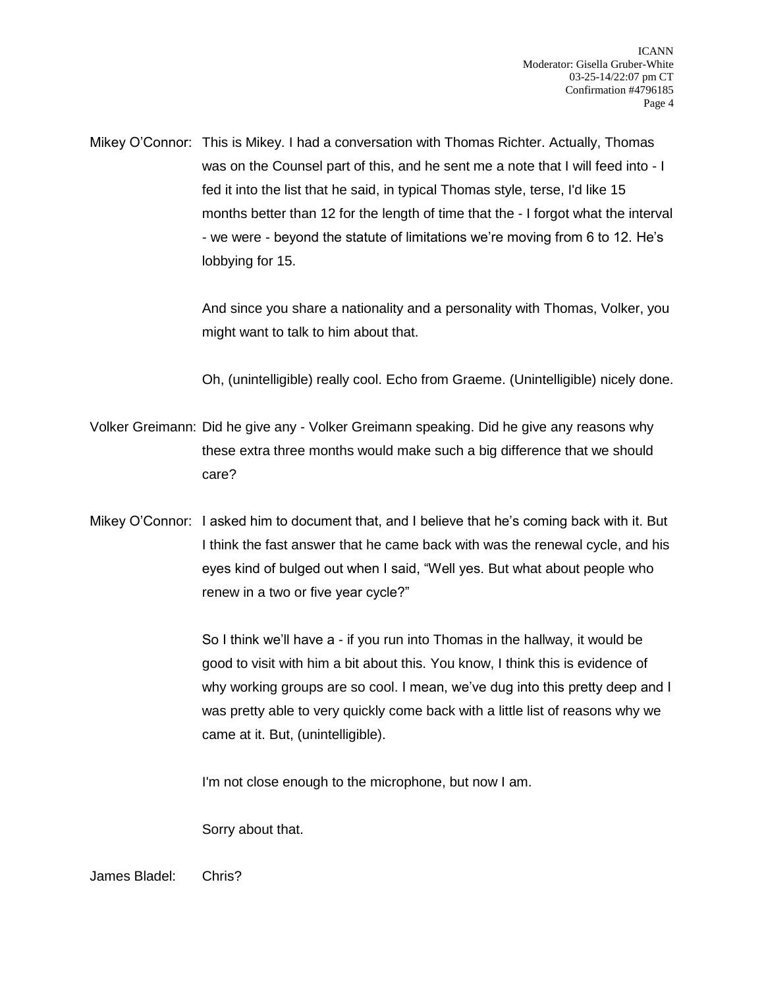Mikey O'Connor: This is Mikey. I had a conversation with Thomas Richter. Actually, Thomas was on the Counsel part of this, and he sent me a note that I will feed into - I fed it into the list that he said, in typical Thomas style, terse, I'd like 15 months better than 12 for the length of time that the - I forgot what the interval - we were - beyond the statute of limitations we're moving from 6 to 12. He's lobbying for 15.

> And since you share a nationality and a personality with Thomas, Volker, you might want to talk to him about that.

> Oh, (unintelligible) really cool. Echo from Graeme. (Unintelligible) nicely done.

- Volker Greimann: Did he give any Volker Greimann speaking. Did he give any reasons why these extra three months would make such a big difference that we should care?
- Mikey O'Connor: I asked him to document that, and I believe that he's coming back with it. But I think the fast answer that he came back with was the renewal cycle, and his eyes kind of bulged out when I said, "Well yes. But what about people who renew in a two or five year cycle?"

So I think we'll have a - if you run into Thomas in the hallway, it would be good to visit with him a bit about this. You know, I think this is evidence of why working groups are so cool. I mean, we've dug into this pretty deep and I was pretty able to very quickly come back with a little list of reasons why we came at it. But, (unintelligible).

I'm not close enough to the microphone, but now I am.

Sorry about that.

James Bladel: Chris?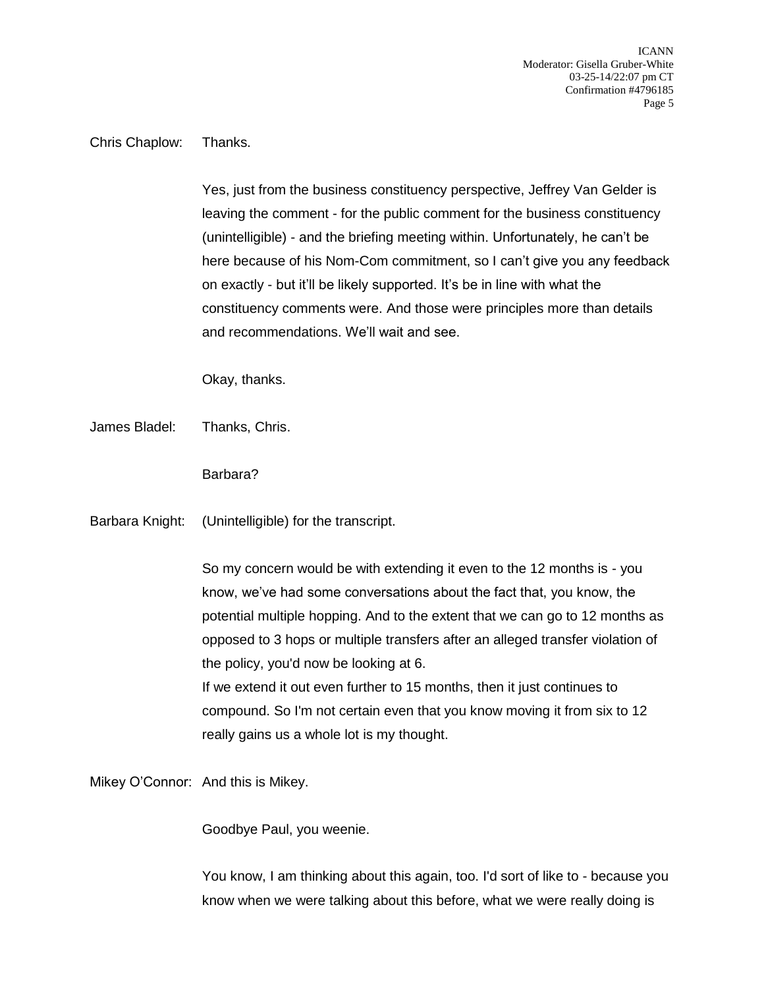Chris Chaplow: Thanks.

Yes, just from the business constituency perspective, Jeffrey Van Gelder is leaving the comment - for the public comment for the business constituency (unintelligible) - and the briefing meeting within. Unfortunately, he can't be here because of his Nom-Com commitment, so I can't give you any feedback on exactly - but it'll be likely supported. It's be in line with what the constituency comments were. And those were principles more than details and recommendations. We'll wait and see.

Okay, thanks.

James Bladel: Thanks, Chris.

Barbara?

Barbara Knight: (Unintelligible) for the transcript.

So my concern would be with extending it even to the 12 months is - you know, we've had some conversations about the fact that, you know, the potential multiple hopping. And to the extent that we can go to 12 months as opposed to 3 hops or multiple transfers after an alleged transfer violation of the policy, you'd now be looking at 6. If we extend it out even further to 15 months, then it just continues to

compound. So I'm not certain even that you know moving it from six to 12 really gains us a whole lot is my thought.

Mikey O'Connor: And this is Mikey.

Goodbye Paul, you weenie.

You know, I am thinking about this again, too. I'd sort of like to - because you know when we were talking about this before, what we were really doing is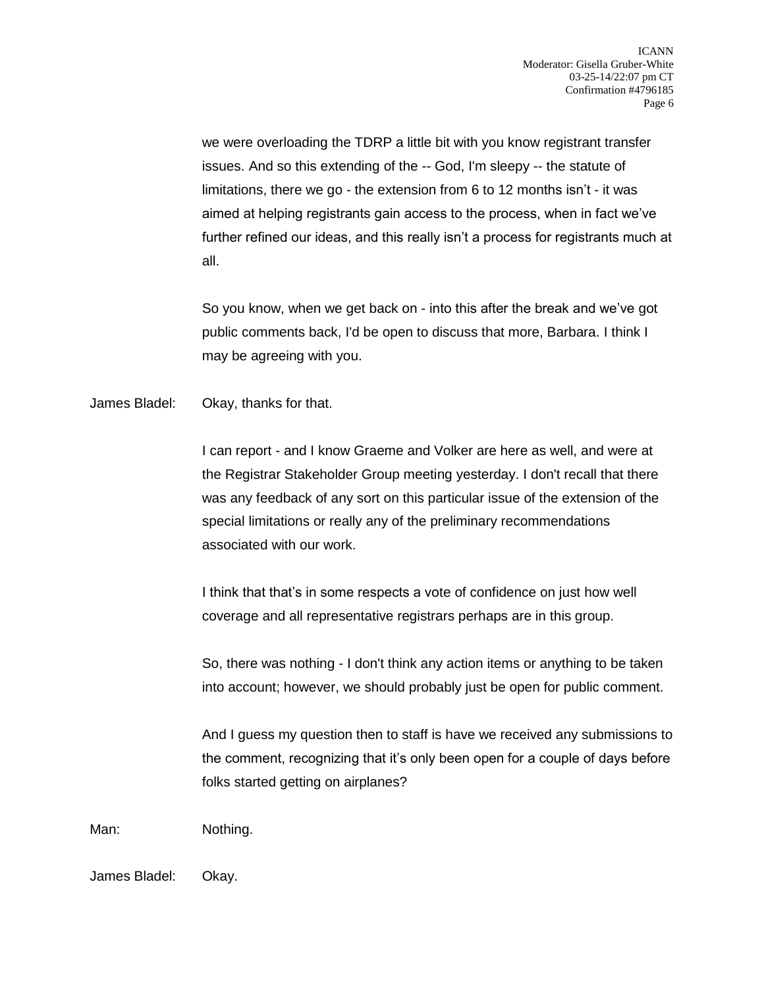we were overloading the TDRP a little bit with you know registrant transfer issues. And so this extending of the -- God, I'm sleepy -- the statute of limitations, there we go - the extension from 6 to 12 months isn't - it was aimed at helping registrants gain access to the process, when in fact we've further refined our ideas, and this really isn't a process for registrants much at all.

So you know, when we get back on - into this after the break and we've got public comments back, I'd be open to discuss that more, Barbara. I think I may be agreeing with you.

James Bladel: Okay, thanks for that.

I can report - and I know Graeme and Volker are here as well, and were at the Registrar Stakeholder Group meeting yesterday. I don't recall that there was any feedback of any sort on this particular issue of the extension of the special limitations or really any of the preliminary recommendations associated with our work.

I think that that's in some respects a vote of confidence on just how well coverage and all representative registrars perhaps are in this group.

So, there was nothing - I don't think any action items or anything to be taken into account; however, we should probably just be open for public comment.

And I guess my question then to staff is have we received any submissions to the comment, recognizing that it's only been open for a couple of days before folks started getting on airplanes?

Man: Nothing.

James Bladel: Okay.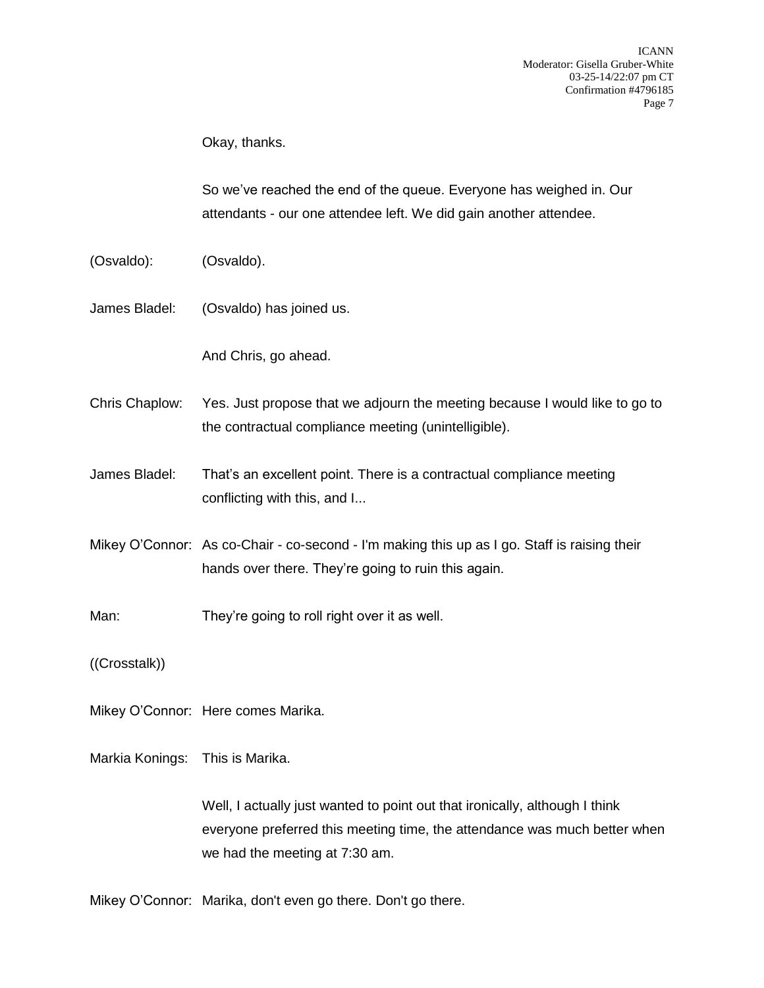Okay, thanks.

So we've reached the end of the queue. Everyone has weighed in. Our attendants - our one attendee left. We did gain another attendee.

- (Osvaldo): (Osvaldo).
- James Bladel: (Osvaldo) has joined us.

And Chris, go ahead.

- Chris Chaplow: Yes. Just propose that we adjourn the meeting because I would like to go to the contractual compliance meeting (unintelligible).
- James Bladel: That's an excellent point. There is a contractual compliance meeting conflicting with this, and I...
- Mikey O'Connor: As co-Chair co-second I'm making this up as I go. Staff is raising their hands over there. They're going to ruin this again.
- Man: They're going to roll right over it as well.

((Crosstalk))

Mikey O'Connor: Here comes Marika.

Markia Konings: This is Marika.

Well, I actually just wanted to point out that ironically, although I think everyone preferred this meeting time, the attendance was much better when we had the meeting at 7:30 am.

Mikey O'Connor: Marika, don't even go there. Don't go there.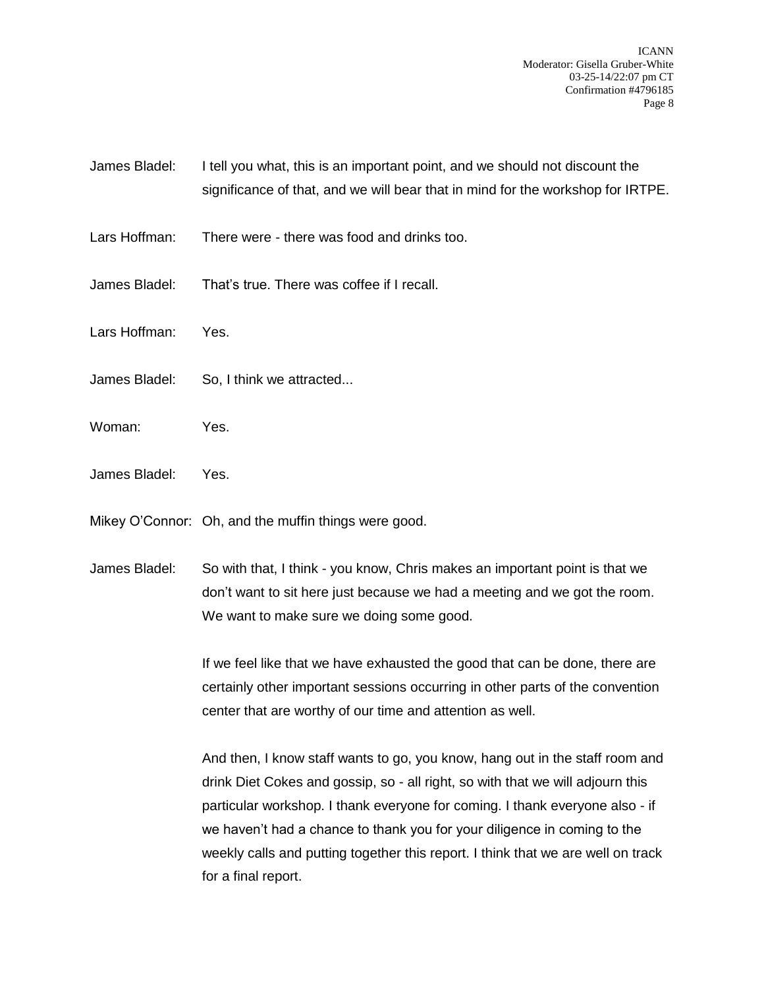- James Bladel: I tell you what, this is an important point, and we should not discount the significance of that, and we will bear that in mind for the workshop for IRTPE.
- Lars Hoffman: There were there was food and drinks too.
- James Bladel: That's true. There was coffee if I recall.
- Lars Hoffman: Yes.
- James Bladel: So, I think we attracted...
- Woman: Yes.
- James Bladel: Yes.

Mikey O'Connor: Oh, and the muffin things were good.

James Bladel: So with that, I think - you know, Chris makes an important point is that we don't want to sit here just because we had a meeting and we got the room. We want to make sure we doing some good.

> If we feel like that we have exhausted the good that can be done, there are certainly other important sessions occurring in other parts of the convention center that are worthy of our time and attention as well.

> And then, I know staff wants to go, you know, hang out in the staff room and drink Diet Cokes and gossip, so - all right, so with that we will adjourn this particular workshop. I thank everyone for coming. I thank everyone also - if we haven't had a chance to thank you for your diligence in coming to the weekly calls and putting together this report. I think that we are well on track for a final report.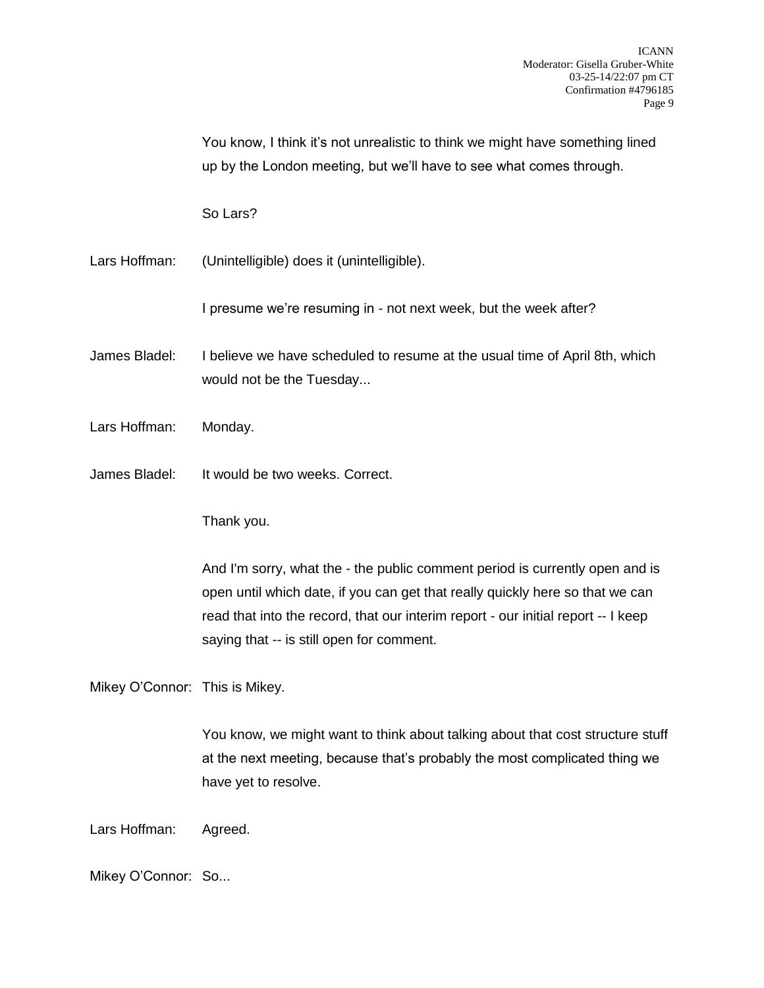You know, I think it's not unrealistic to think we might have something lined up by the London meeting, but we'll have to see what comes through.

So Lars?

Lars Hoffman: (Unintelligible) does it (unintelligible).

I presume we're resuming in - not next week, but the week after?

- James Bladel: I believe we have scheduled to resume at the usual time of April 8th, which would not be the Tuesday...
- Lars Hoffman: Monday.
- James Bladel: It would be two weeks. Correct.

Thank you.

And I'm sorry, what the - the public comment period is currently open and is open until which date, if you can get that really quickly here so that we can read that into the record, that our interim report - our initial report -- I keep saying that -- is still open for comment.

Mikey O'Connor: This is Mikey.

You know, we might want to think about talking about that cost structure stuff at the next meeting, because that's probably the most complicated thing we have yet to resolve.

Lars Hoffman: Agreed.

Mikey O'Connor: So...